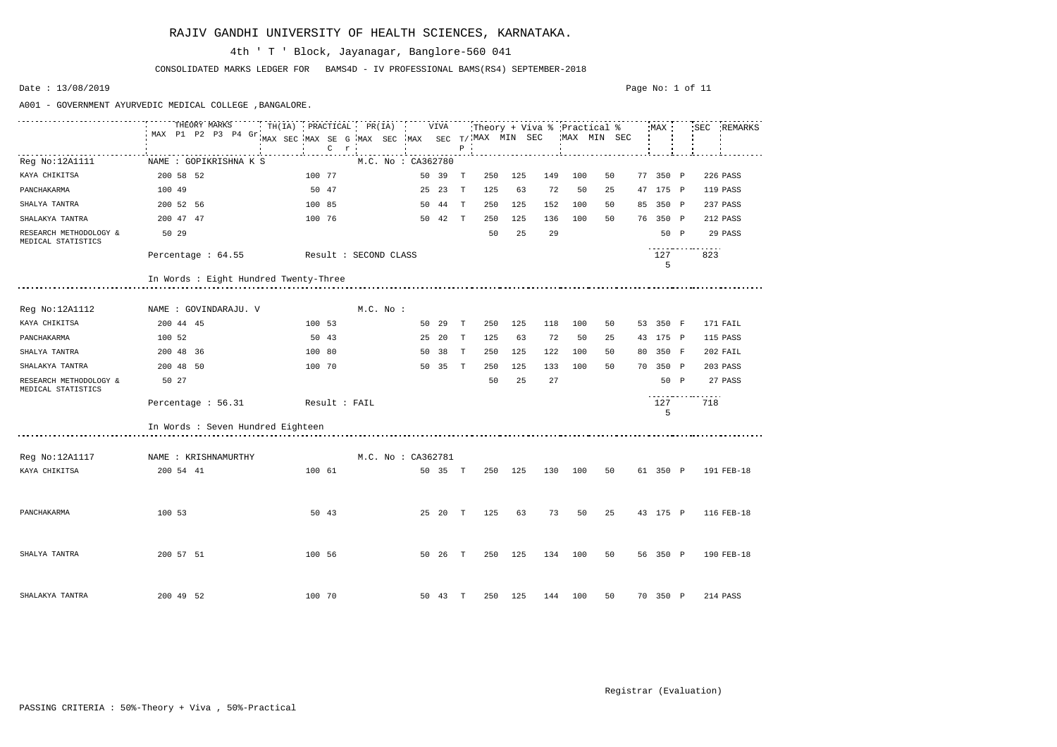|                                              | THEORY MARKS<br>MAX P1 P2 P3 P4 Gr.   | MAX SEC MAX SE G MAX SEC MAX SEC T/ MAX MIN SEC<br>$C$ $r$ |                    | $P$ .               |            | MAX MIN SEC |    |          | SEC REMARKS  |
|----------------------------------------------|---------------------------------------|------------------------------------------------------------|--------------------|---------------------|------------|-------------|----|----------|--------------|
| Reg No:12A1111                               | NAME : GOPIKRISHNA K S                |                                                            | M.C. No : CA362780 |                     |            |             |    |          |              |
| KAYA CHIKITSA                                | 200 58 52                             | 100 77                                                     | 50 39 T            | 250                 | 125<br>149 | 100         | 50 | 77 350 P | 226 PASS     |
| PANCHAKARMA                                  | 100 49                                | 50 47                                                      | 25 23 T            | 125                 | 63<br>72   | 50          | 25 | 47 175 P | 119 PASS     |
| SHALYA TANTRA                                | 200 52 56                             | 100 85                                                     | 50 44 T            | 250                 | 152<br>125 | 100         | 50 | 85 350 P | 237 PASS     |
| SHALAKYA TANTRA                              | 200 47 47                             | 100 76                                                     | 50 42 T            | 250                 | 125<br>136 | 100         | 50 | 76 350 P | 212 PASS     |
| RESEARCH METHODOLOGY &<br>MEDICAL STATISTICS | 50 29                                 |                                                            |                    | 50                  | 29<br>25   |             |    | 50 P     | 29 PASS      |
|                                              |                                       | Percentage : 64.55 Result : SECOND CLASS                   |                    |                     |            |             |    | 127<br>5 | .<br>823     |
|                                              | In Words : Eight Hundred Twenty-Three |                                                            |                    |                     |            |             |    |          |              |
| Reg No:12A1112                               | NAME : GOVINDARAJU. V                 | M.C. No :                                                  |                    |                     |            |             |    |          |              |
| KAYA CHIKITSA                                | 200 44 45                             | 100 53                                                     | 50 29 T            | 250                 | 125<br>118 | 100         | 50 | 53 350 F | 171 FAIL     |
| PANCHAKARMA                                  | 100 52                                | 50 43                                                      | 25 20 T            | 125                 | 63<br>72   | 50          | 25 | 43 175 P | 115 PASS     |
| SHALYA TANTRA                                | 200 48 36                             | 100 80                                                     | 50 38              | 250<br>$\mathbf{T}$ | 122<br>125 | 100         | 50 | 80 350 F | 202 FAIL     |
| SHALAKYA TANTRA                              | 200 48 50                             | 100 70                                                     | 50 35 T            | 250                 | 133<br>125 | 100         | 50 | 70 350 P | 203 PASS     |
| RESEARCH METHODOLOGY &<br>MEDICAL STATISTICS | 50 27                                 |                                                            |                    | 50                  | 25<br>27   |             |    | 50 P     | 27 PASS<br>. |
|                                              | Percentage : 56.31                    | Result : FAIL                                              |                    |                     |            |             |    | 127<br>5 | 718          |
|                                              | In Words : Seven Hundred Eighteen     |                                                            |                    |                     |            |             |    |          |              |
| Reg No:12A1117                               | NAME : KRISHNAMURTHY                  |                                                            | M.C. No : CA362781 |                     |            |             |    |          |              |
| KAYA CHIKITSA                                | 200 54 41                             | 100 61                                                     | 50 35 T            |                     | 250 125    | 130 100     | 50 | 61 350 P | 191 FEB-18   |
| PANCHAKARMA                                  | 100 53                                |                                                            |                    |                     |            |             |    |          |              |
| SHALYA TANTRA                                | 200 57 51                             | 100 56                                                     | 50 26 T            | 250                 | 125        | 134 100     | 50 | 56 350 P | 190 FEB-18   |
| SHALAKYA TANTRA                              | 200 49 52                             | 100 70                                                     | 50 43 T            | 250                 | 125        | 144 100     | 50 | 70 350 P | 214 PASS     |

CONSOLIDATED MARKS LEDGER FOR BAMS4D - IV PROFESSIONAL BAMS(RS4) SEPTEMBER-2018

## 4th ' T ' Block, Jayanagar, Banglore-560 041

Date : 13/08/2019

A001 - GOVERNMENT AYURVEDIC MEDICAL COLLEGE ,BANGALORE.

#### Page No: 1 of 11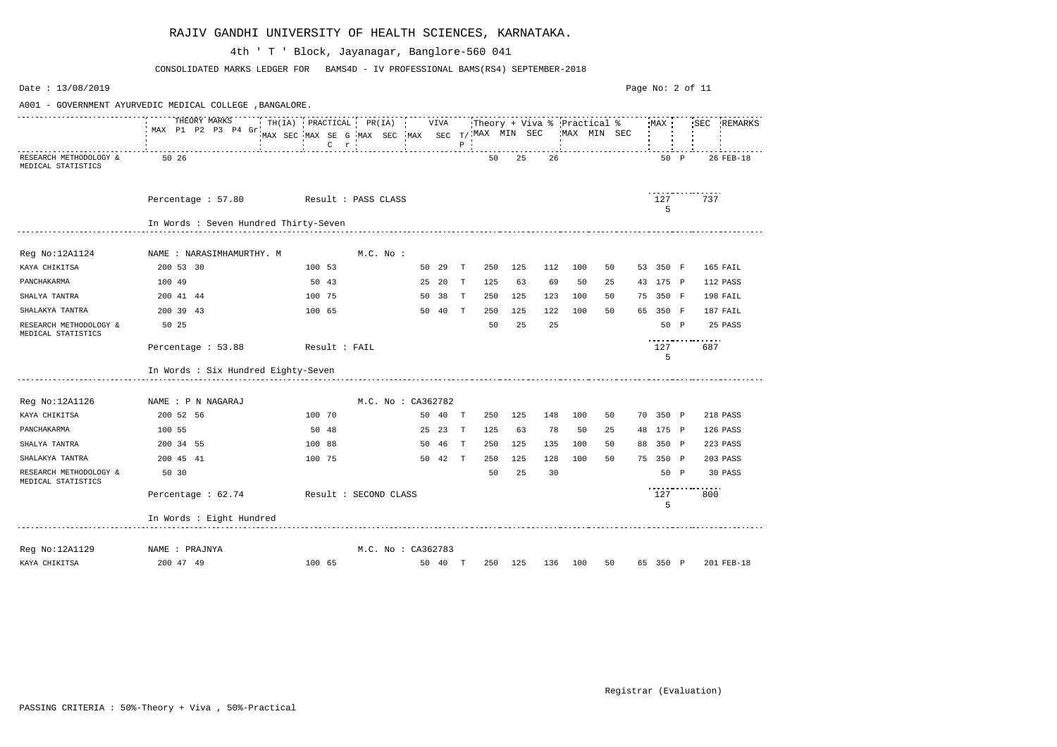| Date: 13/08/2019                             |                                                          |                                                   |              |                    |         |              |     |         |     |         |             |    | Page No: 2 of 11 |      |                          |             |
|----------------------------------------------|----------------------------------------------------------|---------------------------------------------------|--------------|--------------------|---------|--------------|-----|---------|-----|---------|-------------|----|------------------|------|--------------------------|-------------|
|                                              | A001 - GOVERNMENT AYURVEDIC MEDICAL COLLEGE , BANGALORE. |                                                   |              |                    |         |              |     |         |     |         |             |    |                  |      |                          |             |
|                                              | THEORY MARKS<br>MAX P1 P2 P3 P4 Gr                       | MAX SEC MAX SE G MAX SEC MAX SEC $T/$ MAX MIN SEC |              |                    |         | $P$ $\vdots$ |     |         |     |         | MAX MIN SEC |    |                  |      |                          | SEC REMARKS |
| RESEARCH METHODOLOGY &<br>MEDICAL STATISTICS | 50 26                                                    |                                                   |              |                    |         |              | 50  | 25      | 26  |         |             |    | 50 P             |      |                          | 26 FEB-18   |
|                                              | Percentage: 57.80 Result: PASS CLASS                     |                                                   |              |                    |         |              |     |         |     |         |             |    | 127<br>5         |      | .<br>737                 |             |
|                                              | In Words : Seven Hundred Thirty-Seven                    |                                                   |              |                    |         |              |     |         |     |         |             |    |                  |      |                          |             |
| Reg No:12A1124                               | NAME : NARASIMHAMURTHY. M                                |                                                   | $M.C.$ $No.$ |                    |         |              |     |         |     |         |             |    |                  |      |                          |             |
| KAYA CHIKITSA                                | 200 53 30                                                | 100 53                                            |              |                    | 50 29   | $\mathbb{T}$ | 250 | 125     | 112 | 100     | 50          |    | 53 350 F         |      |                          | 165 FAIL    |
| PANCHAKARMA                                  | 100 49                                                   | 50 43                                             |              |                    | 25 20   | T            | 125 | 63      | 69  | 50      | 25          |    | 43 175 P         |      |                          | 112 PASS    |
| SHALYA TANTRA                                | 200 41 44                                                | 100 75                                            |              |                    | 50 38   | T            | 250 | 125     | 123 | 100     | 50          |    | 75 350 F         |      |                          | 198 FAIL    |
| SHALAKYA TANTRA                              | 200 39 43                                                | 100 65                                            |              |                    | 50 40   | $\mathbf{T}$ | 250 | 125     | 122 | 100     | 50          |    | 65 350 F         |      |                          | 187 FAIL    |
| RESEARCH METHODOLOGY &<br>MEDICAL STATISTICS | 50 25                                                    |                                                   |              |                    |         |              | 50  | 25      | 25  |         |             |    |                  | 50 P |                          | 25 PASS     |
|                                              | Percentage : 53.88                                       | Result : FAIL                                     |              |                    |         |              |     |         |     |         |             |    | 127<br>5         |      | -----------------<br>687 |             |
|                                              | In Words : Six Hundred Eighty-Seven                      |                                                   |              |                    |         |              |     |         |     |         |             |    |                  |      |                          |             |
| Reg No:12A1126                               | NAME : P N NAGARAJ                                       |                                                   |              | M.C. No : CA362782 |         |              |     |         |     |         |             |    |                  |      |                          |             |
| KAYA CHIKITSA                                | 200 52 56                                                | 100 70                                            |              |                    | 50 40 T |              | 250 | 125     | 148 | 100     | 50          |    | 70 350 P         |      |                          | 218 PASS    |
| PANCHAKARMA                                  | 100 55                                                   | 50 48                                             |              |                    | 25 23   | $\mathbf{T}$ | 125 | 63      | 78  | 50      | 25          |    | 48 175 P         |      |                          | 126 PASS    |
| SHALYA TANTRA                                | 200 34 55                                                | 100 88                                            |              |                    | 50 46   | т            | 250 | 125     | 135 | 100     | 50          | 88 | 350 P            |      |                          | 223 PASS    |
| SHALAKYA TANTRA                              | 200 45 41                                                | 100 75                                            |              |                    | 50 42   | T            | 250 | 125     | 128 | 100     | 50          |    | 75 350 P         |      |                          | 203 PASS    |
| RESEARCH METHODOLOGY &<br>MEDICAL STATISTICS | 50 30                                                    |                                                   |              |                    |         |              | 50  | 25      | 30  |         |             |    | 50 P             |      |                          | 30 PASS     |
|                                              | Percentage : 62.74                                       | Result : SECOND CLASS                             |              |                    |         |              |     |         |     |         |             |    | 127<br>5         |      | 800                      |             |
|                                              | In Words : Eight Hundred                                 |                                                   |              |                    |         |              |     |         |     |         |             |    |                  |      |                          |             |
| Reg No:12A1129                               | NAME : PRAJNYA                                           |                                                   |              | M.C. No : CA362783 |         |              |     |         |     |         |             |    |                  |      |                          |             |
| KAYA CHIKITSA                                | 200 47 49                                                | 100 65                                            |              |                    | 50 40 T |              |     | 250 125 |     | 136 100 | 50          |    | 65 350 P         |      |                          | 201 FEB-18  |

CONSOLIDATED MARKS LEDGER FOR BAMS4D - IV PROFESSIONAL BAMS(RS4) SEPTEMBER-2018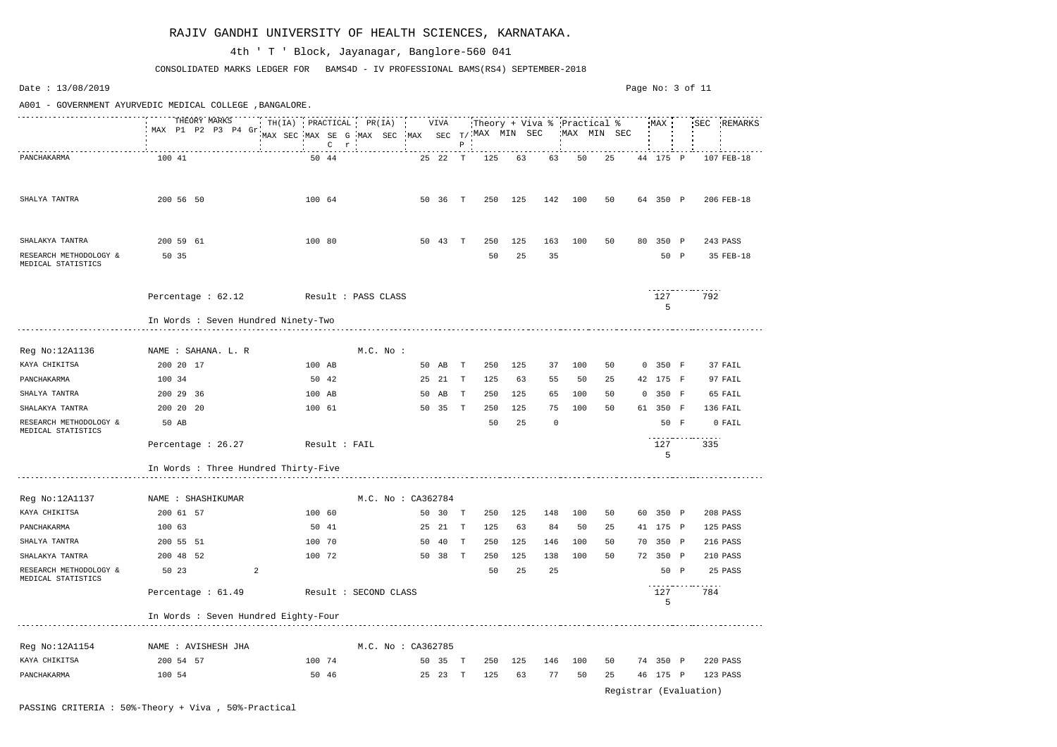Date : 13/08/2019 Page No: 3 of 11A001 - GOVERNMENT AYURVEDIC MEDICAL COLLEGE ,BANGALORE. THEORY MARKS TH(IA) PRACTICAL PR(IA) VIVA Theory + Viva % Practical % MAX SEC REMARKS MAX P1 P2 P3 P4 Gr MAX SEC MAX SE G MAX SEC MAX SEC T/ MAX MIN SEC MAX MIN SEC P C r PANCHAKARMA 100 41 50 44 25 22 T 125 63 50 25 44 175 P 107 FEB-18 SHALYA TANTRA 200 56 50 100 64 50 36 T 250 125 142 100 50 64 350 P 206 FEB-18 SHALAKYA TANTRA 200 59 61 100 80 50 43 T 250 125 163 100 50 80 350 P 243 PASS RESEARCH METHODOLOGY & 50 35 50 25 35 50 P 35 FEB-18 MEDICAL STATISTICS <u>. . . . . . . . . . . . . . . . .</u> Percentage : 62.12 Result : PASS CLASS 127 792 5 In Words : Seven Hundred Ninety-Two Reg No:12A1136 NAME : SAHANA. L. R M.C. No : KAYA CHIKITSA 200 20 17 100 AB 50 AB T 250 125 37 100 50 0 350 F 37 FAIL PANCHAKARMA 100 34 50 42 25 21 T 125 63 55 50 25 42 175 F 97 FAIL SHALYA TANTRA 200 29 36 100 AB 50 AB T 250 125 65 100 50 0 350 F 65 FAIL SHALAKYA TANTRA 200 20 20 100 61 50 35 T 250 125 75 100 50 61 350 F 136 FAIL RESEARCH METHODOLOGY & 50 AB 50 25 0 50 F 0 FAIL MEDICAL STATISTICS <u>. . . . . . . . . . . . . . . .</u> Percentage : 26.27 Result : FAIL 127 335 5 In Words : Three Hundred Thirty-Five Reg No:12A1137 MAME : SHASHIKUMAR M.C. No : CA362784 KAYA CHIKITSA 200 61 57 100 60 50 30 T 250 125 148 100 50 60 350 P 208 PASS PANCHAKARMA 100 63 50 41 25 21 T 125 63 84 50 25 41 175 P 125 PASS SHALYA TANTRA 200 55 51 100 70 50 40 T 250 125 146 100 50 70 350 P 216 PASS SHALAKYA TANTRA 200 48 52 100 72 50 38 T 250 125 138 100 50 72 350 P 210 PASS RESEARCH METHODOLOGY & 50 23 2 50 25 25 50 P 25 PASS MEDICAL STATISTICS . . . . . . . . . . . . . . . . . Percentage : 61.49 Result : SECOND CLASS 127 784 5 In Words : Seven Hundred Eighty-Four Reg No:12A1154 NAME : AVISHESH JHA MAME M.C. No : CA362785 KAYA CHIKITSA 200 54 57 100 74 50 35 T 250 125 146 100 50 74 350 P 220 PASS PANCHAKARMA 100 54 50 46 25 23 T 125 63 77 50 25 46 175 P 123 PASS

CONSOLIDATED MARKS LEDGER FOR BAMS4D - IV PROFESSIONAL BAMS(RS4) SEPTEMBER-2018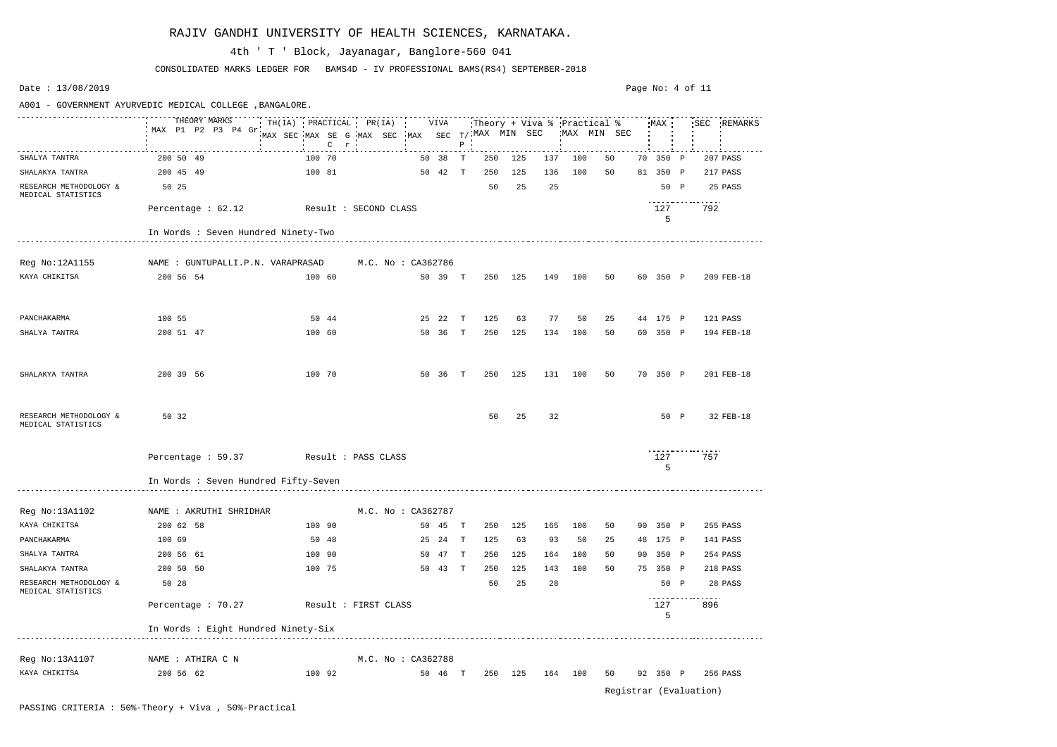# KAYA CHIKITSA 200 56 62 100 92 50 46 T 250 125 164 100 50 92 350 P 256 PASS

Registrar (Evaluation)

| Date: $13/08/2019$                           |                                                          |                                                                       |                       |       |         |              |                        |     |     |                                            |    |    | Page No: 4 of 11 |      |          |            |
|----------------------------------------------|----------------------------------------------------------|-----------------------------------------------------------------------|-----------------------|-------|---------|--------------|------------------------|-----|-----|--------------------------------------------|----|----|------------------|------|----------|------------|
|                                              | A001 - GOVERNMENT AYURVEDIC MEDICAL COLLEGE , BANGALORE. |                                                                       |                       |       |         |              |                        |     |     |                                            |    |    |                  |      |          |            |
|                                              | THEORY MARKS<br>MAX P1 P2 P3 P4 Gr                       | $TH(IA)$ PRACTICAL PR(IA)<br>MAX SEC MAX SE G MAX SEC<br>$\mathsf{C}$ | $r$ $\cdot$           | • MAX | VIVA    | $\mathbf{P}$ | SEC $T/$ . MAX MIN SEC |     |     | Theory + Viva % Practical %<br>MAX MIN SEC |    |    | MAX!             |      | 'SEC     | REMARKS    |
| SHALYA TANTRA                                | 200 50 49                                                | 100 70                                                                |                       |       | 50 38   | T            | 250                    | 125 | 137 | 100                                        | 50 | 70 | 350 P            |      |          | 207 PASS   |
| SHALAKYA TANTRA                              | 200 45 49                                                | 100 81                                                                |                       |       | 50 42   | T            | 250                    | 125 | 136 | 100                                        | 50 | 81 | 350 P            |      |          | 217 PASS   |
| RESEARCH METHODOLOGY &<br>MEDICAL STATISTICS | 50 25                                                    |                                                                       |                       |       |         |              | 50                     | 25  | 25  |                                            |    |    |                  | 50 P |          | 25 PASS    |
|                                              | Percentage : 62.12                                       |                                                                       | Result : SECOND CLASS |       |         |              |                        |     |     |                                            |    |    | 127<br>5         |      | 792      |            |
|                                              | In Words : Seven Hundred Ninety-Two                      |                                                                       |                       |       |         |              |                        |     |     |                                            |    |    |                  |      |          |            |
| Reg No:12A1155                               | NAME : GUNTUPALLI.P.N. VARAPRASAD                        |                                                                       | M.C. No : CA362786    |       |         |              |                        |     |     |                                            |    |    |                  |      |          |            |
| KAYA CHIKITSA                                | 200 56 54                                                | 100 60                                                                |                       |       | 50 39   | T            | 250                    | 125 | 149 | 100                                        | 50 |    | 60 350 P         |      |          | 209 FEB-18 |
| PANCHAKARMA                                  | 100 55                                                   | 50 44                                                                 |                       |       | 25 22   | T            | 125                    | 63  | 77  | 50                                         | 25 |    | 44 175 P         |      |          | 121 PASS   |
| SHALYA TANTRA                                | 200 51 47                                                | 100 60                                                                |                       |       | 50 36   | T            | 250                    | 125 | 134 | 100                                        | 50 |    | 60 350 P         |      |          | 194 FEB-18 |
| SHALAKYA TANTRA                              | 200 39 56                                                | 100 70                                                                |                       |       | 50 36   | T            | 250                    | 125 | 131 | 100                                        | 50 |    | 70 350 P         |      |          | 201 FEB-18 |
| RESEARCH METHODOLOGY &<br>MEDICAL STATISTICS | 50 32                                                    |                                                                       |                       |       |         |              | 50                     | 25  | 32  |                                            |    |    |                  | 50 P |          | 32 FEB-18  |
|                                              | Percentage : 59.37                                       |                                                                       | Result : PASS CLASS   |       |         |              |                        |     |     |                                            |    |    | 127<br>5         |      | 757      |            |
|                                              | In Words : Seven Hundred Fifty-Seven                     |                                                                       |                       |       |         |              |                        |     |     |                                            |    |    |                  |      |          |            |
| Reg No:13A1102                               | NAME : AKRUTHI SHRIDHAR                                  |                                                                       | M.C. No : CA362787    |       |         |              |                        |     |     |                                            |    |    |                  |      |          |            |
| KAYA CHIKITSA                                | 200 62 58                                                | 100 90                                                                |                       |       | 50 45 T |              | 250                    | 125 | 165 | 100                                        | 50 |    | 90 350 P         |      |          | 255 PASS   |
| PANCHAKARMA                                  | 100 69                                                   | 50 48                                                                 |                       |       | 25 24 T |              | 125                    | 63  | 93  | 50                                         | 25 |    | 48 175 P         |      |          | 141 PASS   |
| SHALYA TANTRA                                | 200 56 61                                                | 100 90                                                                |                       |       | 50 47 T |              | 250                    | 125 | 164 | 100                                        | 50 |    | 90 350 P         |      |          | 254 PASS   |
| SHALAKYA TANTRA                              | 200 50 50                                                | 100 75                                                                |                       |       | 50 43 T |              | 250                    | 125 | 143 | 100                                        | 50 |    | 75 350 P         |      |          | 218 PASS   |
| RESEARCH METHODOLOGY &<br>MEDICAL STATISTICS | 50 28                                                    |                                                                       |                       |       |         |              | 50                     | 25  | 28  |                                            |    |    |                  | 50 P |          | 28 PASS    |
|                                              | Percentage : 70.27 Result : FIRST CLASS                  |                                                                       |                       |       |         |              |                        |     |     |                                            |    |    | 127<br>5         |      | .<br>896 |            |
|                                              | In Words : Eight Hundred Ninety-Six                      |                                                                       |                       |       |         |              |                        |     |     |                                            |    |    |                  |      |          |            |
| Reg No:13A1107                               | NAME : ATHIRA C N                                        |                                                                       | M.C. No : CA362788    |       |         |              |                        |     |     |                                            |    |    |                  |      |          |            |

#### RAJIV GANDHI UNIVERSITY OF HEALTH SCIENCES, KARNATAKA.

CONSOLIDATED MARKS LEDGER FOR BAMS4D - IV PROFESSIONAL BAMS(RS4) SEPTEMBER-2018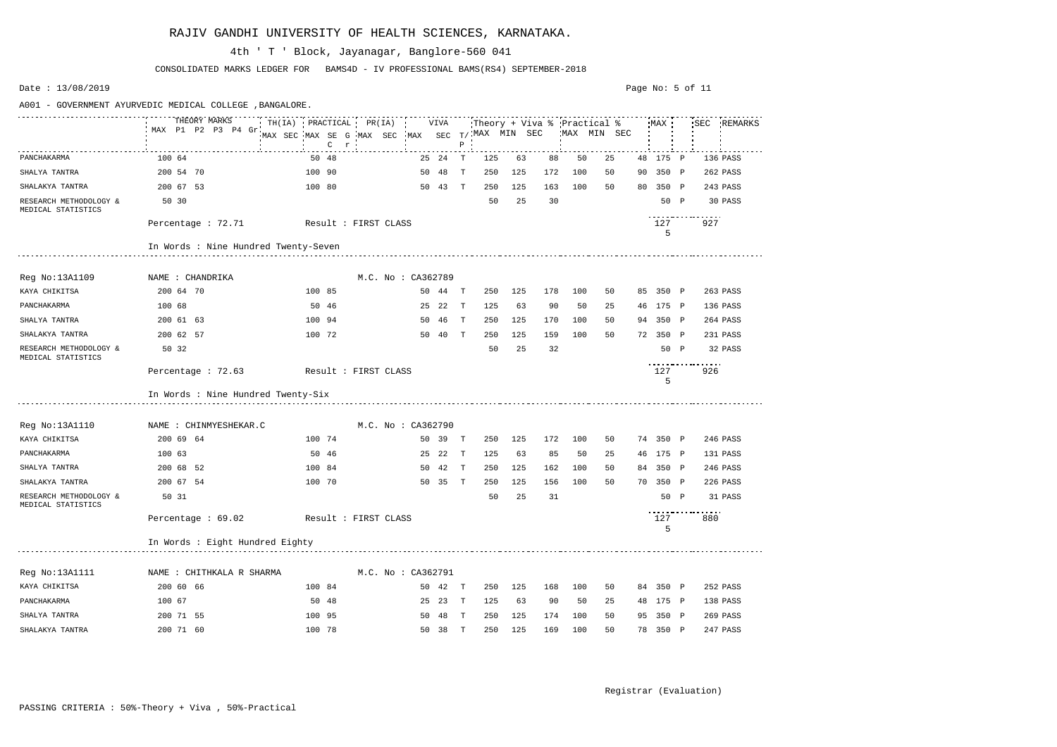|                                              | THEORY MARKS                            | $TH(IA)$ PRACTICAL PR(IA) |                    |    | VIVA    |              |                          |         |     |     | Theory + Viva % 'Practical %' |    | MAX      |              | 'SEC | REMARKS  |
|----------------------------------------------|-----------------------------------------|---------------------------|--------------------|----|---------|--------------|--------------------------|---------|-----|-----|-------------------------------|----|----------|--------------|------|----------|
|                                              | MAX P1 P2 P3 P4 Gr.                     | MAX SEC MAX SE G MAX SEC  |                    |    |         |              | MAX SEC $T/$ MAX MIN SEC |         |     |     | MAX MIN SEC                   |    |          |              |      |          |
|                                              |                                         | $C$ $r$                   |                    |    |         | $P$ $\cdot$  |                          |         |     |     |                               |    |          |              |      |          |
| PANCHAKARMA                                  | 100 64                                  | 50 48                     |                    |    | 25 24   | T            | 125                      | 63      | 88  | 50  | 25                            |    | 48 175   | $\mathbb{P}$ |      | 136 PASS |
| SHALYA TANTRA                                | 200 54 70                               | 100 90                    |                    | 50 | 48      | T            | 250                      | 125     | 172 | 100 | 50                            | 90 | 350 P    |              |      | 262 PASS |
| SHALAKYA TANTRA                              | 200 67 53                               | 100 80                    |                    |    | 50 43 T |              | 250                      | 125     | 163 | 100 | 50                            | 80 | 350 P    |              |      | 243 PASS |
| RESEARCH METHODOLOGY &<br>MEDICAL STATISTICS | 50 30                                   |                           |                    |    |         |              | 50                       | 25      | 30  |     |                               |    | 50 P     |              |      | 30 PASS  |
|                                              | Percentage : 72.71                      | Result : FIRST CLASS      |                    |    |         |              |                          |         |     |     |                               |    | 127<br>5 |              | 927  |          |
|                                              | In Words : Nine Hundred Twenty-Seven    |                           |                    |    |         |              |                          |         |     |     |                               |    |          |              |      |          |
|                                              |                                         |                           |                    |    |         |              |                          |         |     |     |                               |    |          |              |      |          |
| Reg No:13A1109                               | NAME : CHANDRIKA                        |                           | M.C. No : CA362789 |    |         |              |                          |         |     |     |                               |    |          |              |      |          |
| KAYA CHIKITSA                                | 200 64 70                               | 100 85                    |                    |    | 50 44   | т            | 250                      | 125     | 178 | 100 | 50                            |    | 85 350 P |              |      | 263 PASS |
| PANCHAKARMA                                  | 100 68                                  | 50 46                     |                    |    | 25 22   | $\mathbf{T}$ | 125                      | 63      | 90  | 50  | 25                            |    | 46 175 P |              |      | 136 PASS |
| SHALYA TANTRA                                | 200 61 63                               | 100 94                    |                    | 50 | - 46    | T            | 250                      | 125     | 170 | 100 | 50                            |    | 94 350 P |              |      | 264 PASS |
| SHALAKYA TANTRA                              | 200 62 57                               | 100 72                    |                    |    | 50 40   | T            | 250                      | 125     | 159 | 100 | 50                            | 72 | 350 P    |              |      | 231 PASS |
| RESEARCH METHODOLOGY &<br>MEDICAL STATISTICS | 50 32                                   |                           |                    |    |         |              | 50                       | 25      | 32  |     |                               |    | 50 P     |              |      | 32 PASS  |
|                                              | Percentage : 72.63                      | Result : FIRST CLASS      |                    |    |         |              |                          |         |     |     |                               |    | 127<br>5 |              | 926  |          |
|                                              | In Words : Nine Hundred Twenty-Six      |                           |                    |    |         |              |                          |         |     |     |                               |    |          |              |      |          |
| Reg No:13A1110                               | NAME : CHINMYESHEKAR.C                  |                           | M.C. No: CA362790  |    |         |              |                          |         |     |     |                               |    |          |              |      |          |
| KAYA CHIKITSA                                | 200 69 64                               | 100 74                    |                    |    | 50 39   | $\mathbb{T}$ | 250                      | 125     | 172 | 100 | 50                            |    | 74 350 P |              |      | 246 PASS |
| PANCHAKARMA                                  | 100 63                                  | 50 46                     |                    |    | 25 22   | $\mathbf{T}$ | 125                      | 63      | 85  | 50  | 25                            |    | 46 175 P |              |      | 131 PASS |
| SHALYA TANTRA                                | 200 68 52                               | 100 84                    |                    | 50 | - 42    | T            | 250                      | 125     | 162 | 100 | 50                            |    | 84 350 P |              |      | 246 PASS |
| SHALAKYA TANTRA                              | 200 67 54                               | 100 70                    |                    |    | 50 35   | $\mathbb T$  | 250                      | 125     | 156 | 100 | 50                            | 70 | 350 P    |              |      | 226 PASS |
| RESEARCH METHODOLOGY &<br>MEDICAL STATISTICS | 50 31                                   |                           |                    |    |         |              | 50                       | 25      | 31  |     |                               |    | 50 P     |              |      | 31 PASS  |
|                                              | Percentage : 69.02 Result : FIRST CLASS |                           |                    |    |         |              |                          |         |     |     |                               |    | 127<br>5 |              | 880  |          |
|                                              | In Words : Eight Hundred Eighty         |                           |                    |    |         |              |                          |         |     |     |                               |    |          |              |      |          |
|                                              |                                         |                           |                    |    |         |              |                          |         |     |     |                               |    |          |              |      |          |
| Reg No:13A1111                               | NAME : CHITHKALA R SHARMA               |                           | M.C. No : CA362791 |    |         |              |                          |         |     |     |                               |    |          |              |      |          |
| KAYA CHIKITSA                                | 200 60 66                               | 100 84                    |                    |    | 50 42 T |              |                          | 250 125 | 168 | 100 | 50                            |    | 84 350 P |              |      | 252 PASS |
| PANCHAKARMA                                  | 100 67                                  | 50 48                     |                    |    | 25 23 T |              | 125                      | 63      | 90  | 50  | 25                            |    | 48 175 P |              |      | 138 PASS |
| SHALYA TANTRA                                | 200 71 55                               | 100 95                    |                    |    | 50 48 T |              | 250                      | 125     | 174 | 100 | 50                            |    | 95 350 P |              |      | 269 PASS |
| SHALAKYA TANTRA                              | 200 71 60                               | 100 78                    |                    |    | 50 38 T |              | 250                      | 125     | 169 | 100 | 50                            |    | 78 350 P |              |      | 247 PASS |
|                                              |                                         |                           |                    |    |         |              |                          |         |     |     |                               |    |          |              |      |          |

CONSOLIDATED MARKS LEDGER FOR BAMS4D - IV PROFESSIONAL BAMS(RS4) SEPTEMBER-2018

## 4th ' T ' Block, Jayanagar, Banglore-560 041

A001 - GOVERNMENT AYURVEDIC MEDICAL COLLEGE ,BANGALORE.

Page No: 5 of 11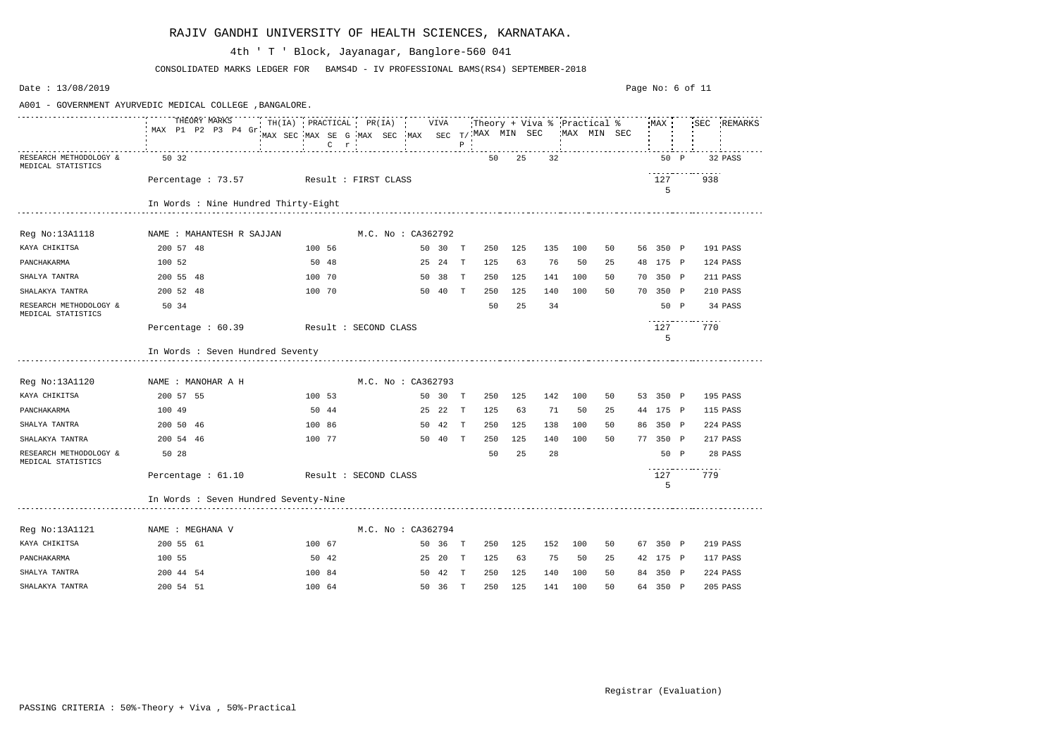| Date: 13/08/2019                             |                                                          |                                                                                                                                                                                                                                                                                                                         |                       |                     |     |     |     |              | Page No: 6 of 11 |          |          |
|----------------------------------------------|----------------------------------------------------------|-------------------------------------------------------------------------------------------------------------------------------------------------------------------------------------------------------------------------------------------------------------------------------------------------------------------------|-----------------------|---------------------|-----|-----|-----|--------------|------------------|----------|----------|
|                                              | A001 - GOVERNMENT AYURVEDIC MEDICAL COLLEGE , BANGALORE. |                                                                                                                                                                                                                                                                                                                         |                       |                     |     |     |     |              |                  |          |          |
|                                              | MAX P1 P2 P3 P4 Gr                                       | THEORY MARKS<br>THEORY MARKS TIME TH(IA) PRACTICAL PR(IA) VIVA Theory + Viva % Practical % MAX ' 'SEC REMARKS<br>$\begin{tabular}{lllllllllll} \texttt{MAX} & \texttt{SEC} & \texttt{MAX} & \texttt{SEC} & \texttt{MAX} & \texttt{SEC} & \texttt{T}\texttt{}/\texttt{!MAX} & \texttt{MIN} & \texttt{SEC} \end{tabular}$ |                       | $P$ $\cdot$         |     |     |     | 'MAX MIN SEC |                  |          |          |
| RESEARCH METHODOLOGY &<br>MEDICAL STATISTICS | 50 32                                                    |                                                                                                                                                                                                                                                                                                                         |                       | 50                  | 25  | 32  |     |              | 50 P             |          | 32 PASS  |
|                                              |                                                          | Percentage: 73.57 Result: FIRST CLASS                                                                                                                                                                                                                                                                                   |                       |                     |     |     |     |              | 127<br>5         | .<br>938 |          |
|                                              | In Words : Nine Hundred Thirty-Eight                     |                                                                                                                                                                                                                                                                                                                         |                       |                     |     |     |     |              |                  |          |          |
| Reg No:13A1118                               | NAME : MAHANTESH R SAJJAN                                |                                                                                                                                                                                                                                                                                                                         | M.C. No : CA362792    |                     |     |     |     |              |                  |          |          |
| KAYA CHIKITSA                                | 200 57 48                                                | 100 56                                                                                                                                                                                                                                                                                                                  | 50 30 T               | 250                 | 125 | 135 | 100 | 50           | 56 350 P         |          | 191 PASS |
| PANCHAKARMA                                  | 100 52                                                   | 50 48                                                                                                                                                                                                                                                                                                                   | 25 24<br>$\mathbf{T}$ | 125                 | 63  | 76  | 50  | 25           | 48 175 P         |          | 124 PASS |
| SHALYA TANTRA                                | 200 55 48                                                | 100 70                                                                                                                                                                                                                                                                                                                  | 50 38 T               | 250                 | 125 | 141 | 100 | 50           | 70 350 P         |          | 211 PASS |
| SHALAKYA TANTRA                              | 200 52 48                                                | 100 70                                                                                                                                                                                                                                                                                                                  | 50 40 T               | 250                 | 125 | 140 | 100 | 50           | 70 350 P         |          | 210 PASS |
| RESEARCH METHODOLOGY &<br>MEDICAL STATISTICS | 50 34                                                    |                                                                                                                                                                                                                                                                                                                         |                       | 50                  | 25  | 34  |     |              | 50 P             |          | 34 PASS  |
|                                              | Percentage : 60.39                                       | Result : SECOND CLASS                                                                                                                                                                                                                                                                                                   |                       |                     |     |     |     |              | 127<br>5         | .<br>770 |          |
|                                              | In Words : Seven Hundred Seventy                         |                                                                                                                                                                                                                                                                                                                         |                       |                     |     |     |     |              |                  |          |          |
| Reg No:13A1120                               | NAME : MANOHAR A H                                       |                                                                                                                                                                                                                                                                                                                         | M.C. No: CA362793     |                     |     |     |     |              |                  |          |          |
| KAYA CHIKITSA                                | 200 57 55                                                | 100 53                                                                                                                                                                                                                                                                                                                  | 50 30 T               | 250                 | 125 | 142 | 100 | 50           | 53 350 P         |          | 195 PASS |
| PANCHAKARMA                                  | 100 49                                                   | 50 44                                                                                                                                                                                                                                                                                                                   | 25 22                 | $\mathbf{T}$<br>125 | 63  | 71  | 50  | 25           | 44 175 P         |          | 115 PASS |
| SHALYA TANTRA                                | 200 50 46                                                | 100 86                                                                                                                                                                                                                                                                                                                  | 50 42 T               | 250                 | 125 | 138 | 100 | 50           | 86 350 P         |          | 224 PASS |
| SHALAKYA TANTRA                              | 200 54 46                                                | 100 77                                                                                                                                                                                                                                                                                                                  | 50 40 T               | 250                 | 125 | 140 | 100 | 50           | 77 350 P         |          | 217 PASS |
| RESEARCH METHODOLOGY &<br>MEDICAL STATISTICS | 50 28                                                    |                                                                                                                                                                                                                                                                                                                         |                       | 50                  | 25  | 28  |     |              | 50 P             |          | 28 PASS  |
|                                              | Percentage $: 61.10$                                     | Result : SECOND CLASS                                                                                                                                                                                                                                                                                                   |                       |                     |     |     |     |              | 127<br>5         | 779      |          |
|                                              | In Words : Seven Hundred Seventy-Nine                    |                                                                                                                                                                                                                                                                                                                         |                       |                     |     |     |     |              |                  |          |          |
| Reg No:13A1121                               | NAME : MEGHANA V                                         |                                                                                                                                                                                                                                                                                                                         | M.C. No : CA362794    |                     |     |     |     |              |                  |          |          |
| KAYA CHIKITSA                                | 200 55 61                                                | 100 67                                                                                                                                                                                                                                                                                                                  | 50 36 T               | 250                 | 125 | 152 | 100 | 50           | 67 350 P         |          | 219 PASS |
| PANCHAKARMA                                  | 100 55                                                   | 50 42                                                                                                                                                                                                                                                                                                                   | 25 20 T               | 125                 | 63  | 75  | 50  | 25           | 42 175 P         |          | 117 PASS |
| SHALYA TANTRA                                | 200 44 54                                                | 100 84                                                                                                                                                                                                                                                                                                                  | 50 42 T               | 250                 | 125 | 140 | 100 | 50           | 84 350 P         |          | 224 PASS |
| SHALAKYA TANTRA                              | 200 54 51                                                | 100 64                                                                                                                                                                                                                                                                                                                  | 50 36 T               | 250                 | 125 | 141 | 100 | 50           | 64 350 P         |          | 205 PASS |

CONSOLIDATED MARKS LEDGER FOR BAMS4D - IV PROFESSIONAL BAMS(RS4) SEPTEMBER-2018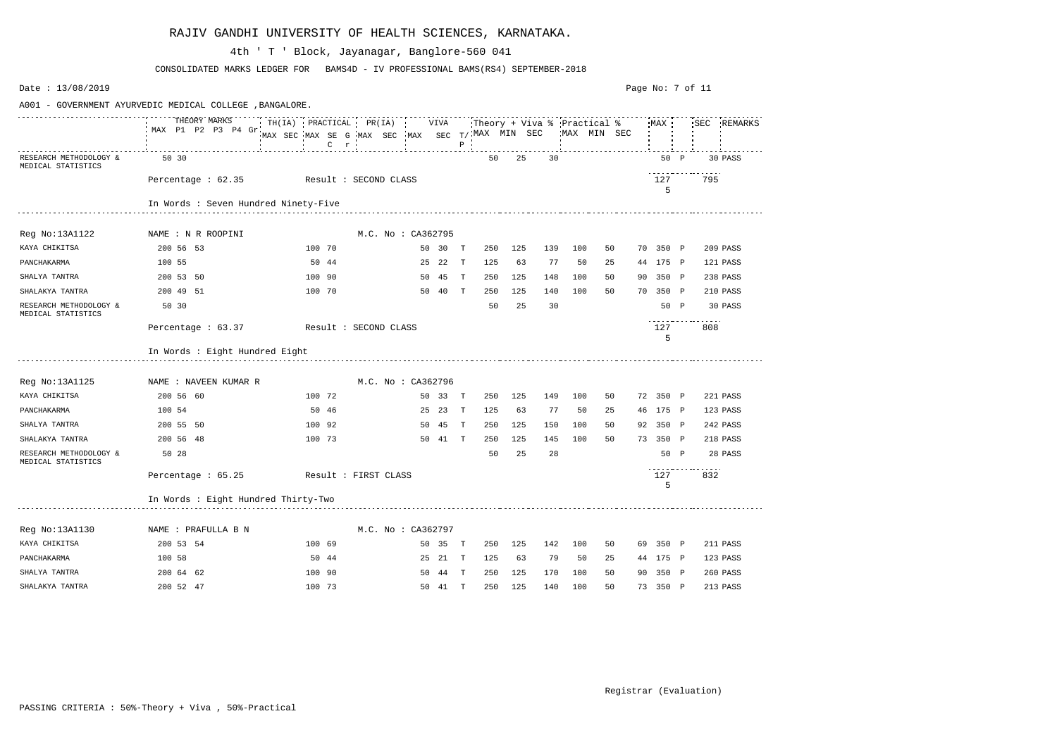| Date: 13/08/2019                                         |                                      |                                                                                           |                    |         |              |                               |     |     |     |             | Page No: 7 of 11 |                          |             |
|----------------------------------------------------------|--------------------------------------|-------------------------------------------------------------------------------------------|--------------------|---------|--------------|-------------------------------|-----|-----|-----|-------------|------------------|--------------------------|-------------|
| A001 - GOVERNMENT AYURVEDIC MEDICAL COLLEGE , BANGALORE. |                                      |                                                                                           |                    |         |              |                               |     |     |     |             |                  |                          |             |
|                                                          | THEORY MARKS<br>MAX P1 P2 P3 P4 Gr   | $TH(IA)$ PRACTICAL PR(IA)<br>MAX SEC MAX SE G MAX SEC MAX SEC $T/$ MAX MIN SEC<br>$C$ $r$ |                    | VIVA    | $\, {\bf P}$ | Theory + Viva % 'Practical %' |     |     |     | MAX MIN SEC | MAX              |                          | SEC REMARKS |
| RESEARCH METHODOLOGY &<br>MEDICAL STATISTICS             | 50 30                                |                                                                                           |                    |         |              | 50                            | 25  | 30  |     |             | 50 P             |                          | 30 PASS     |
|                                                          | Percentage $: 62.35$                 | Result : SECOND CLASS                                                                     |                    |         |              |                               |     |     |     |             | 127<br>5         | 795                      |             |
|                                                          | In Words : Seven Hundred Ninety-Five |                                                                                           |                    |         |              |                               |     |     |     |             |                  |                          |             |
| Reg No:13A1122                                           | NAME : N R ROOPINI                   |                                                                                           | M.C. No : CA362795 |         |              |                               |     |     |     |             |                  |                          |             |
| KAYA CHIKITSA                                            | 200 56 53                            | 100 70                                                                                    | 50 30              |         | T            | 250                           | 125 | 139 | 100 | 50          | 70 350 P         |                          | 209 PASS    |
| PANCHAKARMA                                              | 100 55                               | 50 44                                                                                     | 25 22              |         | $\mathbf{T}$ | 125                           | 63  | 77  | 50  | 25          | 44 175 P         |                          | 121 PASS    |
| SHALYA TANTRA                                            | 200 53 50                            | 100 90                                                                                    | 50 45              |         | T            | 250                           | 125 | 148 | 100 | 50          | 90 350 P         |                          | 238 PASS    |
| SHALAKYA TANTRA                                          | 200 49 51                            | 100 70                                                                                    | 50 40              |         | T            | 250                           | 125 | 140 | 100 | 50          | 70 350 P         |                          | 210 PASS    |
| RESEARCH METHODOLOGY &<br>MEDICAL STATISTICS             | 50 30                                |                                                                                           |                    |         |              | 50                            | 25  | 30  |     |             | 50 P             |                          | 30 PASS     |
|                                                          | Percentage : $63.37$                 | Result : SECOND CLASS                                                                     |                    |         |              |                               |     |     |     |             | 127<br>5         | 808                      |             |
|                                                          | In Words : Eight Hundred Eight       |                                                                                           |                    |         |              |                               |     |     |     |             |                  |                          |             |
| Reg No:13A1125                                           | NAME : NAVEEN KUMAR R                |                                                                                           | M.C. No : CA362796 |         |              |                               |     |     |     |             |                  |                          |             |
| KAYA CHIKITSA                                            | 200 56 60                            | 100 72                                                                                    | 50 33              |         | T            | 250                           | 125 | 149 | 100 | 50          | 72 350 P         |                          | 221 PASS    |
| PANCHAKARMA                                              | 100 54                               | 50 46                                                                                     | 25 23              |         | T            | 125                           | 63  | 77  | 50  | 25          | 46 175 P         |                          | 123 PASS    |
| SHALYA TANTRA                                            | 200 55 50                            | 100 92                                                                                    | 50 45              |         | T            | 250                           | 125 | 150 | 100 | 50          | 92 350 P         |                          | 242 PASS    |
| SHALAKYA TANTRA                                          | 200 56 48                            | 100 73                                                                                    |                    | 50 41 T |              | 250                           | 125 | 145 | 100 | 50          | 73 350 P         |                          | 218 PASS    |
| RESEARCH METHODOLOGY &<br>MEDICAL STATISTICS             | 50 28                                |                                                                                           |                    |         |              | 50                            | 25  | 28  |     |             | 50 P             |                          | 28 PASS     |
|                                                          | Percentage $: 65.25$                 | Result : FIRST CLASS                                                                      |                    |         |              |                               |     |     |     |             | 127<br>5         | -----------------<br>832 |             |
|                                                          | In Words : Eight Hundred Thirty-Two  |                                                                                           |                    |         |              |                               |     |     |     |             |                  |                          |             |
| Reg No:13A1130                                           | NAME : PRAFULLA B N                  |                                                                                           | M.C. No : CA362797 |         |              |                               |     |     |     |             |                  |                          |             |
| KAYA CHIKITSA                                            | 200 53 54                            | 100 69                                                                                    |                    | 50 35 T |              | 250                           | 125 | 142 | 100 | 50          | 69 350 P         |                          | 211 PASS    |
| PANCHAKARMA                                              | 100 58                               | 50 44                                                                                     |                    | 25 21 T |              | 125                           | 63  | 79  | 50  | 25          | 44 175 P         |                          | 123 PASS    |
| SHALYA TANTRA                                            | 200 64 62                            | 100 90                                                                                    |                    | 50 44 T |              | 250                           | 125 | 170 | 100 | 50          | 90 350 P         |                          | 260 PASS    |
| SHALAKYA TANTRA                                          | 200 52 47                            | 100 73                                                                                    |                    | 50 41 T |              | 250                           | 125 | 140 | 100 | 50          | 73 350 P         |                          | 213 PASS    |

CONSOLIDATED MARKS LEDGER FOR BAMS4D - IV PROFESSIONAL BAMS(RS4) SEPTEMBER-2018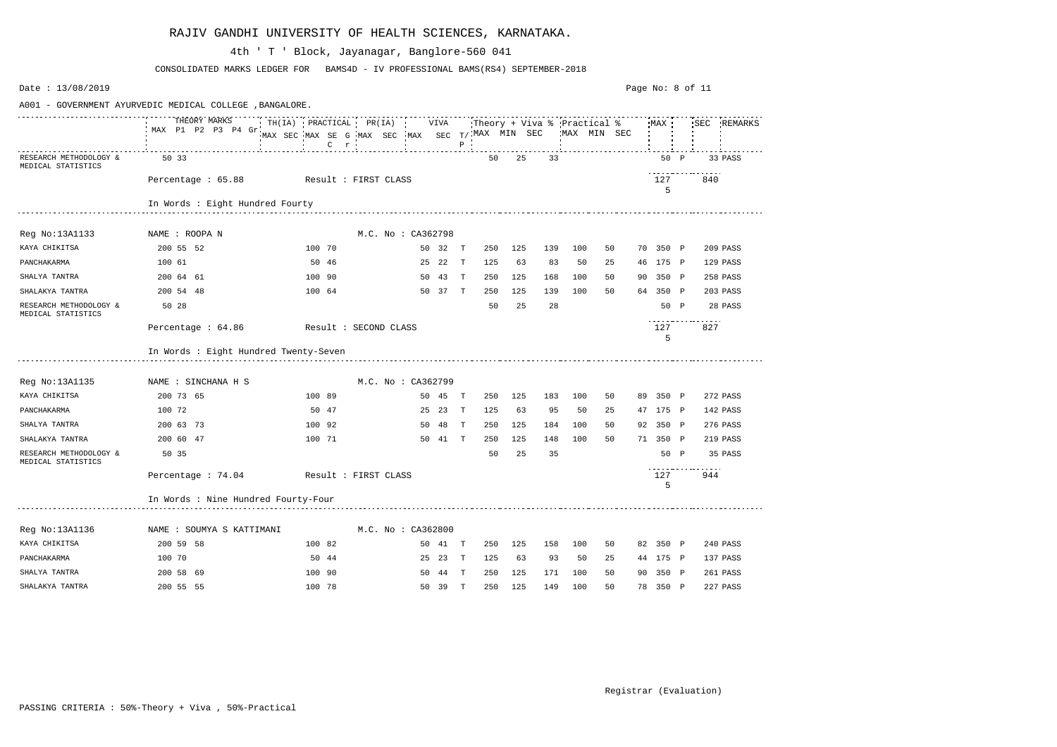| Date: 13/08/2019                             |                                                          |                                                                                               |         |              |     |     |     |     |                                            | Page No: 8 of 11 |                          |             |
|----------------------------------------------|----------------------------------------------------------|-----------------------------------------------------------------------------------------------|---------|--------------|-----|-----|-----|-----|--------------------------------------------|------------------|--------------------------|-------------|
|                                              | A001 - GOVERNMENT AYURVEDIC MEDICAL COLLEGE , BANGALORE. |                                                                                               |         |              |     |     |     |     |                                            |                  |                          |             |
|                                              | THEORY MARKS<br>MAX P1 P2 P3 P4 Gr.                      | $\cdot$ TH(IA) PRACTICAL PR(IA)<br>MAX SEC MAX SE G MAX SEC MAX SEC T/ MAX MIN SEC<br>$C$ $r$ | VIVA    | $\, {\bf P}$ |     |     |     |     | Theory + Viva % Practical %<br>MAX MIN SEC | MAX              |                          | SEC REMARKS |
| RESEARCH METHODOLOGY &<br>MEDICAL STATISTICS | 50 33                                                    |                                                                                               |         |              | 50  | 25  | 33  |     |                                            | 50 P             |                          | 33 PASS     |
|                                              | Percentage : 65.88                                       | Result : FIRST CLASS                                                                          |         |              |     |     |     |     |                                            | 127<br>5         | 840                      |             |
|                                              | In Words : Eight Hundred Fourty                          |                                                                                               |         |              |     |     |     |     |                                            |                  |                          |             |
| Reg No:13A1133                               | NAME : ROOPA N                                           | M.C. No : CA362798                                                                            |         |              |     |     |     |     |                                            |                  |                          |             |
| KAYA CHIKITSA                                | 200 55 52                                                | 100 70                                                                                        | 50 32   | T            | 250 | 125 | 139 | 100 | 50                                         | 70 350 P         |                          | 209 PASS    |
| PANCHAKARMA                                  | 100 61                                                   | 50 46                                                                                         | 25 22   | $\mathbf{T}$ | 125 | 63  | 83  | 50  | 25                                         | 46 175 P         |                          | 129 PASS    |
| SHALYA TANTRA                                | 200 64 61                                                | 100 90                                                                                        | 50 43   | $\mathbf{T}$ | 250 | 125 | 168 | 100 | 50                                         | 90 350 P         |                          | 258 PASS    |
| SHALAKYA TANTRA                              | 200 54 48                                                | 100 64                                                                                        | 50 37   | $\mathbf{T}$ | 250 | 125 | 139 | 100 | 50                                         | 64 350 P         |                          | 203 PASS    |
| RESEARCH METHODOLOGY &<br>MEDICAL STATISTICS | 50 28                                                    |                                                                                               |         |              | 50  | 25  | 28  |     |                                            | 50 P             |                          | 28 PASS     |
|                                              | Percentage : 64.86                                       | Result : SECOND CLASS                                                                         |         |              |     |     |     |     |                                            | 127<br>5         | 827                      |             |
|                                              | In Words : Eight Hundred Twenty-Seven                    |                                                                                               |         |              |     |     |     |     |                                            |                  |                          |             |
| Reg No:13A1135                               | NAME : SINCHANA H S                                      | M.C. No : CA362799                                                                            |         |              |     |     |     |     |                                            |                  |                          |             |
| KAYA CHIKITSA                                | 200 73 65                                                | 100 89                                                                                        | 50 45   | T            | 250 | 125 | 183 | 100 | 50                                         | 89 350 P         |                          | 272 PASS    |
| PANCHAKARMA                                  | 100 72                                                   | 50 47                                                                                         | 25 23   | $\mathbf{T}$ | 125 | 63  | 95  | 50  | 25                                         | 47 175 P         |                          | 142 PASS    |
| SHALYA TANTRA                                | 200 63 73                                                | 100 92                                                                                        | 50 48   | $\mathbf{T}$ | 250 | 125 | 184 | 100 | 50                                         | 92 350 P         |                          | 276 PASS    |
| SHALAKYA TANTRA                              | 200 60 47                                                | 100 71                                                                                        | 50 41 T |              | 250 | 125 | 148 | 100 | 50                                         | 71 350 P         |                          | 219 PASS    |
| RESEARCH METHODOLOGY &<br>MEDICAL STATISTICS | 50 35                                                    |                                                                                               |         |              | 50  | 25  | 35  |     |                                            | 50 P             |                          | 35 PASS     |
|                                              | Percentage : 74.04                                       | Result : FIRST CLASS                                                                          |         |              |     |     |     |     |                                            | 127<br>5         | -----------------<br>944 |             |
|                                              | In Words : Nine Hundred Fourty-Four                      |                                                                                               |         |              |     |     |     |     |                                            |                  |                          |             |
| Reg No:13A1136                               | NAME : SOUMYA S KATTIMANI                                | M.C. No : CA362800                                                                            |         |              |     |     |     |     |                                            |                  |                          |             |
| KAYA CHIKITSA                                | 200 59 58                                                | 100 82                                                                                        | 50 41 T |              | 250 | 125 | 158 | 100 | 50                                         | 82 350 P         |                          | 240 PASS    |
| PANCHAKARMA                                  | 100 70                                                   | 50 44                                                                                         | 25 23 T |              | 125 | 63  | 93  | 50  | 25                                         | 44 175 P         |                          | 137 PASS    |
| SHALYA TANTRA                                | 200 58 69                                                | 100 90                                                                                        | 50 44 T |              | 250 | 125 | 171 | 100 | 50                                         | 90 350 P         |                          | 261 PASS    |
| SHALAKYA TANTRA                              | 200 55 55                                                | 100 78                                                                                        | 50 39 T |              | 250 | 125 | 149 | 100 | 50                                         | 78 350 P         |                          | 227 PASS    |

CONSOLIDATED MARKS LEDGER FOR BAMS4D - IV PROFESSIONAL BAMS(RS4) SEPTEMBER-2018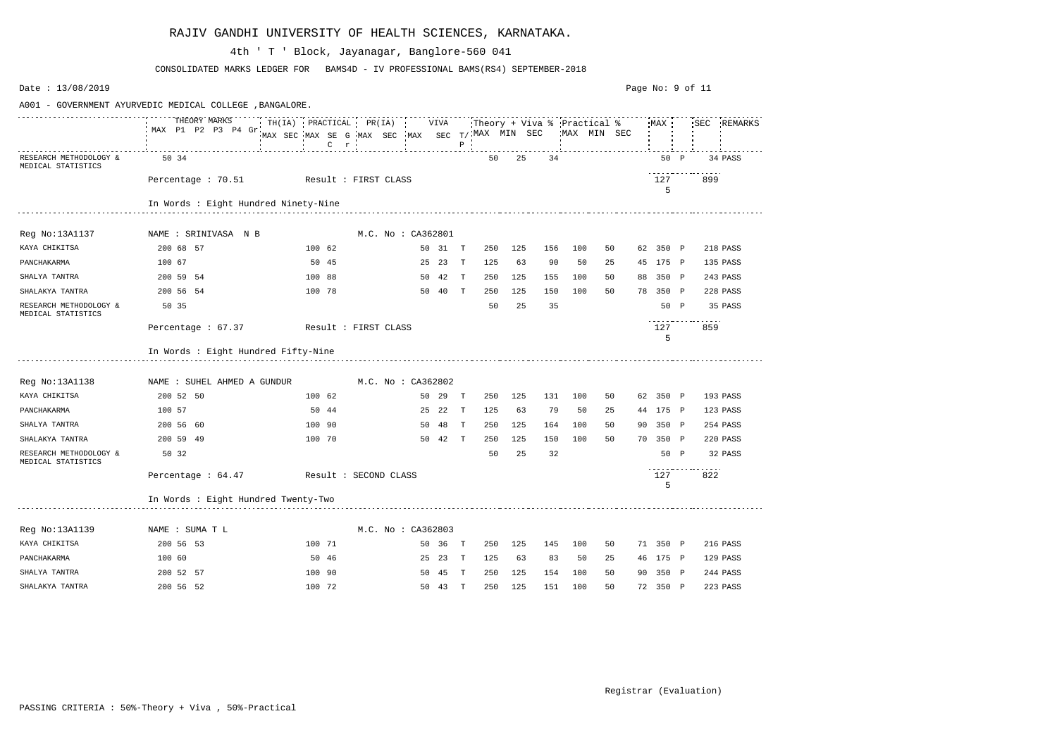| Date: $13/08/2019$                           |                                                                                                           |                                                              |  |                    |         |              |     |     |     |     |             | Page No: 9 of 11 |          |             |
|----------------------------------------------|-----------------------------------------------------------------------------------------------------------|--------------------------------------------------------------|--|--------------------|---------|--------------|-----|-----|-----|-----|-------------|------------------|----------|-------------|
|                                              | A001 - GOVERNMENT AYURVEDIC MEDICAL COLLEGE , BANGALORE.                                                  |                                                              |  |                    |         |              |     |     |     |     |             |                  |          |             |
|                                              | TH(IA) PRACTICAL PR(IA) : VIVA : Theory + Viva % Practical % MAX :<br>THEORY MARKS<br>MAX P1 P2 P3 P4 Gr. | MAX SEC MAX SE G MAX SEC MAX SEC $T/$ MAX MIN SEC<br>$C$ $r$ |  |                    |         | $\, {\bf P}$ |     |     |     |     | MAX MIN SEC |                  |          | SEC REMARKS |
| RESEARCH METHODOLOGY &<br>MEDICAL STATISTICS | 50 34                                                                                                     |                                                              |  |                    |         |              | 50  | 25  | 34  |     |             | 50 P             |          | 34 PASS     |
|                                              | Percentage : 70.51 Result : FIRST CLASS                                                                   |                                                              |  |                    |         |              |     |     |     |     |             | 127<br>5         | 899      |             |
|                                              | In Words : Eight Hundred Ninety-Nine                                                                      |                                                              |  |                    |         |              |     |     |     |     |             |                  |          |             |
| Reg No:13A1137                               | NAME : SRINIVASA N B                                                                                      |                                                              |  | M.C. No : CA362801 |         |              |     |     |     |     |             |                  |          |             |
| KAYA CHIKITSA                                | 200 68 57                                                                                                 | 100 62                                                       |  |                    | 50 31 T |              | 250 | 125 | 156 | 100 | 50          | 62 350 P         |          | 218 PASS    |
| PANCHAKARMA                                  | 100 67                                                                                                    | 50 45                                                        |  |                    | 25 23   | T            | 125 | 63  | 90  | 50  | 25          | 45 175 P         |          | 135 PASS    |
| SHALYA TANTRA                                | 200 59 54                                                                                                 | 100 88                                                       |  |                    | 50 42   | $\mathbf{T}$ | 250 | 125 | 155 | 100 | 50          | 88 350 P         |          | 243 PASS    |
| SHALAKYA TANTRA                              | 200 56 54                                                                                                 | 100 78                                                       |  |                    | 50 40 T |              | 250 | 125 | 150 | 100 | 50          | 78 350 P         |          | 228 PASS    |
| RESEARCH METHODOLOGY &<br>MEDICAL STATISTICS | 50 35                                                                                                     |                                                              |  |                    |         |              | 50  | 25  | 35  |     |             | 50 P             |          | 35 PASS     |
|                                              | Percentage : 67.37                                                                                        | Result : FIRST CLASS                                         |  |                    |         |              |     |     |     |     |             | 127<br>5         | .<br>859 |             |
|                                              | In Words : Eight Hundred Fifty-Nine                                                                       |                                                              |  |                    |         |              |     |     |     |     |             |                  |          |             |
| Reg No:13A1138                               | NAME : SUHEL AHMED A GUNDUR                                                                               |                                                              |  | M.C. No: CA362802  |         |              |     |     |     |     |             |                  |          |             |
| KAYA CHIKITSA                                | 200 52 50                                                                                                 | 100 62                                                       |  |                    | 50 29   | $\mathbf{T}$ | 250 | 125 | 131 | 100 | 50          | 62 350 P         |          | 193 PASS    |
| PANCHAKARMA                                  | 100 57                                                                                                    | 50 44                                                        |  | 25                 | 22      | T            | 125 | 63  | 79  | 50  | 25          | 44 175 P         |          | 123 PASS    |
| SHALYA TANTRA                                | 200 56 60                                                                                                 | 100 90                                                       |  |                    | 50 48   | $\mathbf{T}$ | 250 | 125 | 164 | 100 | 50          | 90 350 P         |          | 254 PASS    |
| SHALAKYA TANTRA                              | 200 59 49                                                                                                 | 100 70                                                       |  |                    | 50 42   | $\mathbf{T}$ | 250 | 125 | 150 | 100 | 50          | 70 350 P         |          | 220 PASS    |
| RESEARCH METHODOLOGY &<br>MEDICAL STATISTICS | 50 32                                                                                                     |                                                              |  |                    |         |              | 50  | 25  | 32  |     |             | 50 P             |          | 32 PASS     |
|                                              | Percentage : $64.47$                                                                                      | Result : SECOND CLASS                                        |  |                    |         |              |     |     |     |     |             | 127<br>5         | .<br>822 |             |
|                                              | In Words : Eight Hundred Twenty-Two                                                                       |                                                              |  |                    |         |              |     |     |     |     |             |                  |          |             |
| Reg No:13A1139                               | NAME : SUMA T L                                                                                           |                                                              |  | M.C. No: CA362803  |         |              |     |     |     |     |             |                  |          |             |
| KAYA CHIKITSA                                | 200 56 53                                                                                                 | 100 71                                                       |  |                    | 50 36 T |              | 250 | 125 | 145 | 100 | 50          | 71 350 P         |          | 216 PASS    |
| PANCHAKARMA                                  | 100 60                                                                                                    | 50 46                                                        |  |                    | 25 23 T |              | 125 | 63  | 83  | 50  | 25          | 46 175 P         |          | 129 PASS    |
| SHALYA TANTRA                                | 200 52 57                                                                                                 | 100 90                                                       |  |                    | 50 45   | $\mathbb{T}$ | 250 | 125 | 154 | 100 | 50          | 90 350 P         |          | 244 PASS    |
| SHALAKYA TANTRA                              | 200 56 52                                                                                                 | 100 72                                                       |  |                    | 50 43 T |              | 250 | 125 | 151 | 100 | 50          | 72 350 P         |          | 223 PASS    |

CONSOLIDATED MARKS LEDGER FOR BAMS4D - IV PROFESSIONAL BAMS(RS4) SEPTEMBER-2018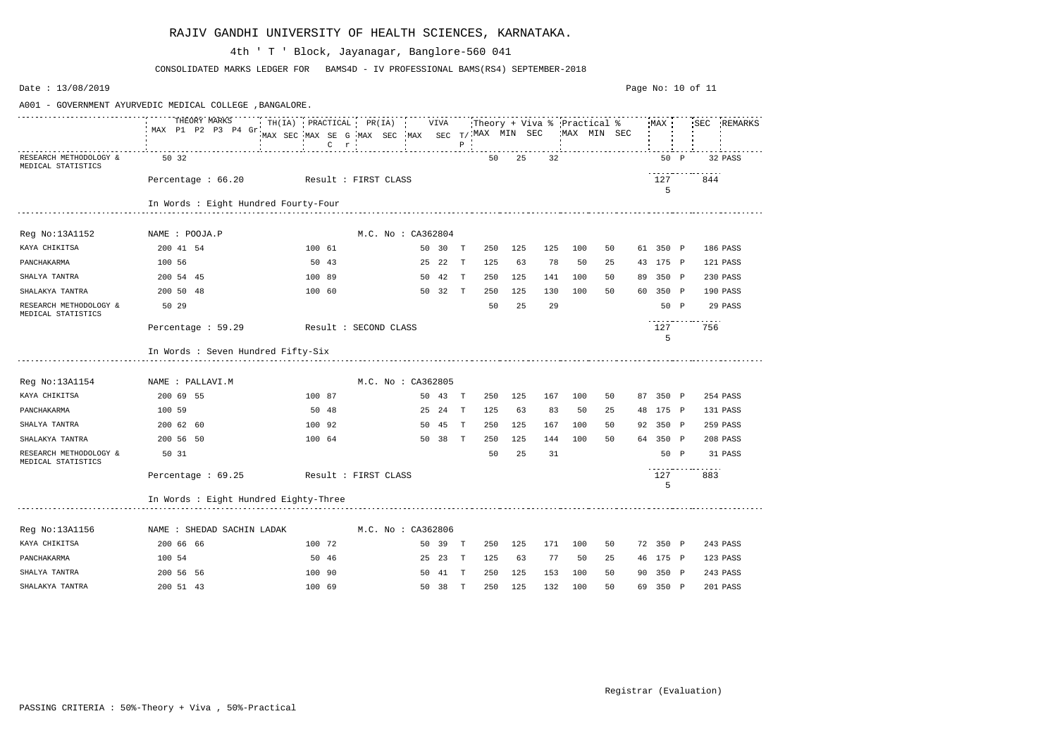| Date: 13/08/2019                             |                                                          |                                                                                        |                    |              |                               |     |     |     |             |    |          |      | Page No: 10 of 11        |             |
|----------------------------------------------|----------------------------------------------------------|----------------------------------------------------------------------------------------|--------------------|--------------|-------------------------------|-----|-----|-----|-------------|----|----------|------|--------------------------|-------------|
|                                              | A001 - GOVERNMENT AYURVEDIC MEDICAL COLLEGE , BANGALORE. |                                                                                        |                    |              |                               |     |     |     |             |    |          |      |                          |             |
|                                              | THEORY MARKS<br>MAX P1 P2 P3 P4 Gr                       | $TH(IA)$ PRACTICAL PR(IA)<br>MAX SEC MAX SE G MAX SEC MAX SEC T/MAX MIN SEC<br>$C$ $r$ | VIVA               | $\, {\bf P}$ | Theory + Viva % 'Practical %' |     |     |     | MAX MIN SEC |    | MAX      |      |                          | SEC REMARKS |
| RESEARCH METHODOLOGY &<br>MEDICAL STATISTICS | 50 32                                                    |                                                                                        |                    |              | 50                            | 25  | 32  |     |             |    | 50 P     |      |                          | 32 PASS     |
|                                              | Percentage : 66.20                                       | Result : FIRST CLASS                                                                   |                    |              |                               |     |     |     |             |    | 127<br>5 |      | 844                      |             |
|                                              | In Words : Eight Hundred Fourty-Four                     |                                                                                        |                    |              |                               |     |     |     |             |    |          |      |                          |             |
| Reg No:13A1152                               | NAME : POOJA.P                                           |                                                                                        | M.C. No : CA362804 |              |                               |     |     |     |             |    |          |      |                          |             |
| KAYA CHIKITSA                                | 200 41 54                                                | 100 61                                                                                 | 50 30              | T            | 250                           | 125 | 125 | 100 | 50          |    | 61 350 P |      |                          | 186 PASS    |
| PANCHAKARMA                                  | 100 56                                                   | 50 43                                                                                  | 25 22              | $\mathbf{T}$ | 125                           | 63  | 78  | 50  | 25          |    | 43 175 P |      |                          | 121 PASS    |
| SHALYA TANTRA                                | 200 54 45                                                | 100 89                                                                                 | 50 42              | $\mathbf{T}$ | 250                           | 125 | 141 | 100 | 50          |    | 89 350 P |      |                          | 230 PASS    |
| SHALAKYA TANTRA                              | 200 50 48                                                | 100 60                                                                                 | 50 32              | $\mathbf{T}$ | 250                           | 125 | 130 | 100 | 50          | 60 | 350 P    |      |                          | 190 PASS    |
| RESEARCH METHODOLOGY &<br>MEDICAL STATISTICS | 50 29                                                    |                                                                                        |                    |              | 50                            | 25  | 29  |     |             |    | 50 P     |      |                          | 29 PASS     |
|                                              | Percentage : 59.29                                       | Result : SECOND CLASS                                                                  |                    |              |                               |     |     |     |             |    | 127<br>5 |      | 756                      |             |
|                                              | In Words : Seven Hundred Fifty-Six                       |                                                                                        |                    |              |                               |     |     |     |             |    |          |      |                          |             |
| Reg No:13A1154                               | NAME : PALLAVI.M                                         |                                                                                        | M.C. No: CA362805  |              |                               |     |     |     |             |    |          |      |                          |             |
| KAYA CHIKITSA                                | 200 69 55                                                | 100 87                                                                                 | 50 43              | T            | 250                           | 125 | 167 | 100 | 50          |    | 87 350 P |      |                          | 254 PASS    |
| PANCHAKARMA                                  | 100 59                                                   | 50 48                                                                                  | 25 24              | T            | 125                           | 63  | 83  | 50  | 25          |    | 48 175 P |      |                          | 131 PASS    |
| SHALYA TANTRA                                | 200 62 60                                                | 100 92                                                                                 | 50 45              | T            | 250                           | 125 | 167 | 100 | 50          |    | 92 350 P |      |                          | 259 PASS    |
| SHALAKYA TANTRA                              | 200 56 50                                                | 100 64                                                                                 | 50 38              | T            | 250                           | 125 | 144 | 100 | 50          |    | 64 350 P |      |                          | 208 PASS    |
| RESEARCH METHODOLOGY &<br>MEDICAL STATISTICS | 50 31                                                    |                                                                                        |                    |              | 50                            | 25  | 31  |     |             |    |          | 50 P |                          | 31 PASS     |
|                                              | Percentage $: 69.25$                                     | Result : FIRST CLASS                                                                   |                    |              |                               |     |     |     |             |    | 127<br>5 |      | -----------------<br>883 |             |
|                                              | In Words : Eight Hundred Eighty-Three                    |                                                                                        |                    |              |                               |     |     |     |             |    |          |      |                          |             |
| Reg No:13A1156                               | NAME : SHEDAD SACHIN LADAK                               |                                                                                        | M.C. No : CA362806 |              |                               |     |     |     |             |    |          |      |                          |             |
| KAYA CHIKITSA                                | 200 66 66                                                | 100 72                                                                                 | 50 39 T            |              | 250                           | 125 | 171 | 100 | 50          |    | 72 350 P |      |                          | 243 PASS    |
| PANCHAKARMA                                  | 100 54                                                   | 50 46                                                                                  | 25 23 T            |              | 125                           | 63  | 77  | 50  | 25          |    | 46 175 P |      |                          | 123 PASS    |
| SHALYA TANTRA                                | 200 56 56                                                | 100 90                                                                                 | 50 41 T            |              | 250                           | 125 | 153 | 100 | 50          |    | 90 350 P |      |                          | 243 PASS    |
| SHALAKYA TANTRA                              | 200 51 43                                                | 100 69                                                                                 | 50 38 T            |              | 250                           | 125 | 132 | 100 | 50          |    | 69 350 P |      |                          | 201 PASS    |

CONSOLIDATED MARKS LEDGER FOR BAMS4D - IV PROFESSIONAL BAMS(RS4) SEPTEMBER-2018